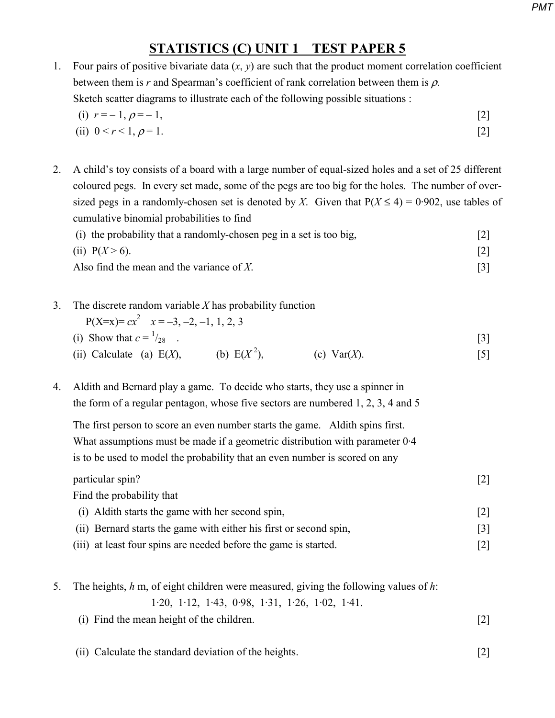## **STATISTICS (C) UNIT 1 TEST PAPER 5**

1. Four pairs of positive bivariate data  $(x, y)$  are such that the product moment correlation coefficient between them is  $r$  and Spearman's coefficient of rank correlation between them is  $\rho$ . Sketch scatter diagrams to illustrate each of the following possible situations :

(i) 
$$
r = -1, \rho = -1,
$$
 [2]  
(ii)  $0 < r < 1, \rho = 1.$  [2]

2. A child's toy consists of a board with a large number of equal-sized holes and a set of 25 different coloured pegs. In every set made, some of the pegs are too big for the holes. The number of oversized pegs in a randomly-chosen set is denoted by *X*. Given that  $P(X \le 4) = 0.902$ , use tables of cumulative binomial probabilities to find

| (i) the probability that a randomly-chosen peg in a set is too big, |  |
|---------------------------------------------------------------------|--|
| (ii) $P(X > 6)$ .                                                   |  |
| Also find the mean and the variance of $X$ .                        |  |

3. The discrete random variable *X* has probability function

 $P(X=x)= cx^2$   $x=-3, -2, -1, 1, 2, 3$ (i) Show that  $c =$ <sup>1</sup>

 $/_{28}$  . [3] (ii) Calculate (a)  $E(X)$ , (b)  $E(X^2)$ , (c)  $Var(X)$ . [5]

4. Aldith and Bernard play a game. To decide who starts, they use a spinner in the form of a regular pentagon, whose five sectors are numbered 1, 2, 3, 4 and 5

 The first person to score an even number starts the game. Aldith spins first. What assumptions must be made if a geometric distribution with parameter 0·4 is to be used to model the probability that an even number is scored on any

particular spin? [2] Find the probability that (i) Aldith starts the game with her second spin, [2] (ii) Bernard starts the game with either his first or second spin, [3] (iii) at least four spins are needed before the game is started. [2]

- 5. The heights, *h* m, of eight children were measured, giving the following values of *h*: 1·20, 1·12, 1·43, 0·98, 1·31, 1·26, 1·02, 1·41. (i) Find the mean height of the children. [2]
	-
	- (ii) Calculate the standard deviation of the heights. [2]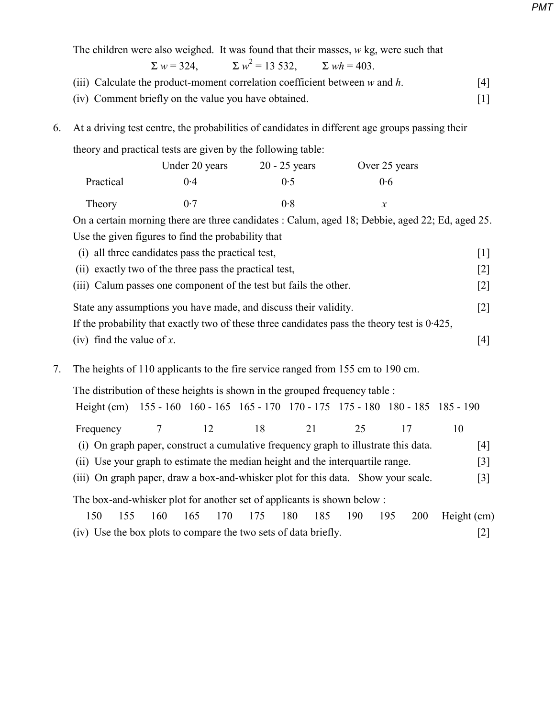|                                                                                                                                                                     |                                                                                                                                                                 | The children were also weighed. It was found that their masses, $w$ kg, were such that<br>$\Sigma w = 324$ , $\Sigma w^2 = 13532$ , $\Sigma wh = 403$ . |                 |     |               |                            |             |                   |
|---------------------------------------------------------------------------------------------------------------------------------------------------------------------|-----------------------------------------------------------------------------------------------------------------------------------------------------------------|---------------------------------------------------------------------------------------------------------------------------------------------------------|-----------------|-----|---------------|----------------------------|-------------|-------------------|
|                                                                                                                                                                     |                                                                                                                                                                 | (iii) Calculate the product-moment correlation coefficient between $w$ and $h$ .<br>(iv) Comment briefly on the value you have obtained.                |                 |     |               |                            |             | [4]<br>$[1]$      |
| 6.                                                                                                                                                                  | At a driving test centre, the probabilities of candidates in different age groups passing their<br>theory and practical tests are given by the following table: |                                                                                                                                                         |                 |     |               |                            |             |                   |
|                                                                                                                                                                     |                                                                                                                                                                 |                                                                                                                                                         |                 |     |               |                            |             |                   |
|                                                                                                                                                                     |                                                                                                                                                                 | Under 20 years                                                                                                                                          | $20 - 25$ years |     | Over 25 years |                            |             |                   |
|                                                                                                                                                                     | Practical                                                                                                                                                       | 0.4                                                                                                                                                     | 0.5             |     |               | 0.6                        |             |                   |
|                                                                                                                                                                     | Theory                                                                                                                                                          | 0.7                                                                                                                                                     | 0.8             |     |               | $\boldsymbol{\mathcal{X}}$ |             |                   |
|                                                                                                                                                                     |                                                                                                                                                                 | On a certain morning there are three candidates : Calum, aged 18; Debbie, aged 22; Ed, aged 25.                                                         |                 |     |               |                            |             |                   |
|                                                                                                                                                                     |                                                                                                                                                                 | Use the given figures to find the probability that                                                                                                      |                 |     |               |                            |             |                   |
|                                                                                                                                                                     |                                                                                                                                                                 | (i) all three candidates pass the practical test,                                                                                                       |                 |     |               |                            |             | $\lceil 1 \rceil$ |
|                                                                                                                                                                     |                                                                                                                                                                 | (ii) exactly two of the three pass the practical test,                                                                                                  |                 |     |               |                            |             | $[2]$             |
|                                                                                                                                                                     |                                                                                                                                                                 | (iii) Calum passes one component of the test but fails the other.                                                                                       |                 |     |               |                            |             | $[2]$             |
|                                                                                                                                                                     |                                                                                                                                                                 | State any assumptions you have made, and discuss their validity.                                                                                        |                 |     |               |                            |             | $[2]$             |
|                                                                                                                                                                     | If the probability that exactly two of these three candidates pass the theory test is $0.425$ ,                                                                 |                                                                                                                                                         |                 |     |               |                            |             |                   |
|                                                                                                                                                                     | (iv) find the value of $x$ .                                                                                                                                    |                                                                                                                                                         |                 |     |               |                            |             | $[4]$             |
| 7.                                                                                                                                                                  |                                                                                                                                                                 | The heights of 110 applicants to the fire service ranged from 155 cm to 190 cm.                                                                         |                 |     |               |                            |             |                   |
|                                                                                                                                                                     | The distribution of these heights is shown in the grouped frequency table :                                                                                     |                                                                                                                                                         |                 |     |               |                            |             |                   |
|                                                                                                                                                                     |                                                                                                                                                                 | Height (cm) 155 - 160 160 - 165 165 - 170 170 - 175 175 - 180 180 - 185 185 - 190                                                                       |                 |     |               |                            |             |                   |
|                                                                                                                                                                     | Frequency                                                                                                                                                       | $\overline{7}$<br>12                                                                                                                                    | 18              | 21  | 25            | 17                         | 10          |                   |
|                                                                                                                                                                     |                                                                                                                                                                 | (i) On graph paper, construct a cumulative frequency graph to illustrate this data.                                                                     |                 |     |               |                            |             | [4]               |
| (ii) Use your graph to estimate the median height and the interquartile range.<br>(iii) On graph paper, draw a box-and-whisker plot for this data. Show your scale. |                                                                                                                                                                 |                                                                                                                                                         |                 |     |               |                            |             | $[3]$             |
|                                                                                                                                                                     |                                                                                                                                                                 |                                                                                                                                                         |                 |     |               |                            |             | $[3]$             |
| The box-and-whisker plot for another set of applicants is shown below:                                                                                              |                                                                                                                                                                 |                                                                                                                                                         |                 |     |               |                            |             |                   |
|                                                                                                                                                                     | 155<br>150                                                                                                                                                      | 160<br>165<br>170                                                                                                                                       | 175<br>180      | 185 | 190           | 195<br>200                 | Height (cm) |                   |
|                                                                                                                                                                     |                                                                                                                                                                 | (iv) Use the box plots to compare the two sets of data briefly.                                                                                         |                 |     |               |                            |             | $[2]$             |

*PMT*